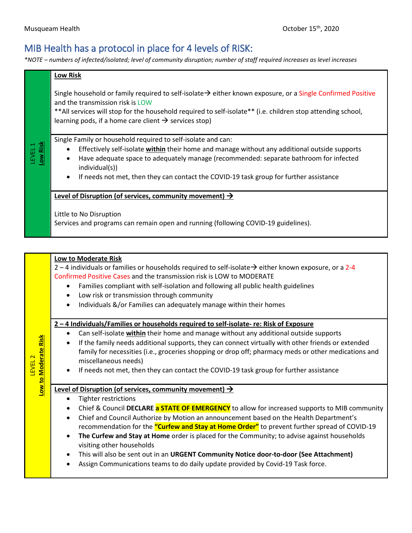## MIB Health has a protocol in place for 4 levels of RISK:

*\*NOTE – numbers of infected/isolated; level of community disruption; number of staff required increases as level increases*

| *NOTE – numbers of infected/isolated; level of community disruption; number of staff required increases as level increases |                                                                                                                                                                                                                                                                                                                                                                                                                                                                                                                |  |
|----------------------------------------------------------------------------------------------------------------------------|----------------------------------------------------------------------------------------------------------------------------------------------------------------------------------------------------------------------------------------------------------------------------------------------------------------------------------------------------------------------------------------------------------------------------------------------------------------------------------------------------------------|--|
|                                                                                                                            | <b>Low Risk</b>                                                                                                                                                                                                                                                                                                                                                                                                                                                                                                |  |
|                                                                                                                            | Single household or family required to self-isolate $\rightarrow$ either known exposure, or a Single Confirmed Positive<br>and the transmission risk is LOW<br>** All services will stop for the household required to self-isolate** (i.e. children stop attending school,<br>learning pods, if a home care client $\rightarrow$ services stop)                                                                                                                                                               |  |
| Low Risk<br>LEVEL 1                                                                                                        | Single Family or household required to self-isolate and can:<br>Effectively self-isolate within their home and manage without any additional outside supports<br>Have adequate space to adequately manage (recommended: separate bathroom for infected<br>individual(s))<br>If needs not met, then they can contact the COVID-19 task group for further assistance                                                                                                                                             |  |
|                                                                                                                            | Level of Disruption (of services, community movement) $\rightarrow$<br>Little to No Disruption<br>Services and programs can remain open and running (following COVID-19 guidelines).                                                                                                                                                                                                                                                                                                                           |  |
|                                                                                                                            |                                                                                                                                                                                                                                                                                                                                                                                                                                                                                                                |  |
|                                                                                                                            | Low to Moderate Risk<br>$2 - 4$ individuals or families or households required to self-isolate $\rightarrow$ either known exposure, or a 2-4<br>Confirmed Positive Cases and the transmission risk is LOW to MODERATE<br>Families compliant with self-isolation and following all public health guidelines<br>$\bullet$<br>Low risk or transmission through community<br>$\bullet$<br>Individuals &/or Families can adequately manage within their homes<br>$\bullet$                                          |  |
| ow to Moderate Risk<br>LEVEL <sub>2</sub>                                                                                  | 2-4 Individuals/Families or households required to self-isolate- re: Risk of Exposure<br>Can self-isolate within their home and manage without any additional outside supports<br>If the family needs additional supports, they can connect virtually with other friends or extended<br>family for necessities (i.e., groceries shopping or drop off; pharmacy meds or other medications and<br>miscellaneous needs)<br>If needs not met, then they can contact the COVID-19 task group for further assistance |  |
|                                                                                                                            | Level of Disruption (of services, community movement) $\rightarrow$                                                                                                                                                                                                                                                                                                                                                                                                                                            |  |

## **Level of Disruption (of services, community movement)**

• Tighter restrictions

- Chief & Council **DECLARE a STATE OF EMERGENCY** to allow for increased supports to MIB community
- Chief and Council Authorize by Motion an announcement based on the Health Department's recommendation for the **"Curfew and Stay at Home Order"** to prevent further spread of COVID-19
- **The Curfew and Stay at Home** order is placed for the Community; to advise against households visiting other households
- This will also be sent out in an **URGENT Community Notice door-to-door (See Attachment)**
- Assign Communications teams to do daily update provided by Covid-19 Task force.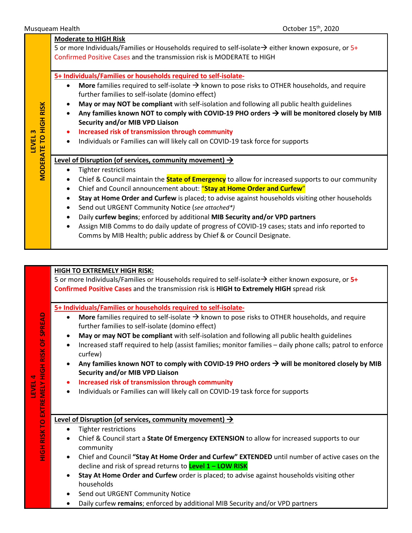**LEVEL 3**

|                                        | <b>Moderate to HIGH Risk</b><br>5 or more Individuals/Families or Households required to self-isolate $\rightarrow$ either known exposure, or 5+<br>Confirmed Positive Cases and the transmission risk is MODERATE to HIGH                                                                                                                                                                                                                                                                                                                                                                                                                                                                                                                                                                                                                                                                                                                                                                                                                                                                                                                                                                                                                                                                                                                                                                                                                                                  |
|----------------------------------------|-----------------------------------------------------------------------------------------------------------------------------------------------------------------------------------------------------------------------------------------------------------------------------------------------------------------------------------------------------------------------------------------------------------------------------------------------------------------------------------------------------------------------------------------------------------------------------------------------------------------------------------------------------------------------------------------------------------------------------------------------------------------------------------------------------------------------------------------------------------------------------------------------------------------------------------------------------------------------------------------------------------------------------------------------------------------------------------------------------------------------------------------------------------------------------------------------------------------------------------------------------------------------------------------------------------------------------------------------------------------------------------------------------------------------------------------------------------------------------|
| <b>RISK</b><br><b>MODERATE TO HIGH</b> | 5+ Individuals/Families or households required to self-isolate-<br>More families required to self-isolate $\rightarrow$ known to pose risks to OTHER households, and require<br>$\bullet$<br>further families to self-isolate (domino effect)<br>May or may NOT be compliant with self-isolation and following all public health guidelines<br>$\bullet$<br>Any families known NOT to comply with COVID-19 PHO orders $\rightarrow$ will be monitored closely by MIB<br>$\bullet$<br>Security and/or MIB VPD Liaison<br>Increased risk of transmission through community<br>٠<br>Individuals or Families can will likely call on COVID-19 task force for supports<br>$\bullet$<br>Level of Disruption (of services, community movement) $\rightarrow$<br><b>Tighter restrictions</b><br>$\bullet$<br>Chief & Council maintain the <b>State of Emergency</b> to allow for increased supports to our community<br>$\bullet$<br>Chief and Council announcement about: "Stay at Home Order and Curfew"<br>٠<br>Stay at Home Order and Curfew is placed; to advise against households visiting other households<br>$\bullet$<br>Send out URGENT Community Notice (see attached*)<br>$\bullet$<br>Daily curfew begins; enforced by additional MIB Security and/or VPD partners<br>$\bullet$<br>Assign MIB Comms to do daily update of progress of COVID-19 cases; stats and info reported to<br>$\bullet$<br>Comms by MIB Health; public address by Chief & or Council Designate. |
|                                        |                                                                                                                                                                                                                                                                                                                                                                                                                                                                                                                                                                                                                                                                                                                                                                                                                                                                                                                                                                                                                                                                                                                                                                                                                                                                                                                                                                                                                                                                             |
|                                        | <b>HIGH TO EXTREMELY HIGH RISK:</b><br>$\epsilon$ or more individuals (Eamilias or Households required to self-isolate $\rightarrow$ either known expesure, or $\epsilon_{\perp}$                                                                                                                                                                                                                                                                                                                                                                                                                                                                                                                                                                                                                                                                                                                                                                                                                                                                                                                                                                                                                                                                                                                                                                                                                                                                                           |

5 or more Individuals/Families or Households required to self-isolate→ either known exposure, or 5+ **Confirmed Positive Cases** and the transmission risk is **HIGH to Extremely HIGH** spread risk

**5+ Individuals/Families or households required to self-isolate-**

- More families required to self-isolate  $\rightarrow$  known to pose risks to OTHER households, and require further families to self-isolate (domino effect)
- **May or may NOT be compliant** with self-isolation and following all public health guidelines
- Increased staff required to help (assist families; monitor families daily phone calls; patrol to enforce curfew)
- Any families known NOT to comply with COVID-19 PHO orders  $\rightarrow$  will be monitored closely by MIB **Security and/or MIB VPD Liaison**
- **Increased risk of transmission through community**
- Individuals or Families can will likely call on COVID-19 task force for supports

## **Level of Disruption (of services, community movement)**

- Tighter restrictions
- Chief & Council start a **State Of Emergency EXTENSION** to allow for increased supports to our community
- Chief and Council **"Stay At Home Order and Curfew" EXTENDED** until number of active cases on the decline and risk of spread returns to **Level 1 – LOW RISK**
- **Stay At Home Order and Curfew** order is placed; to advise against households visiting other households
- Send out URGENT Community Notice
- Daily curfew **remains**; enforced by additional MIB Security and/or VPD partners